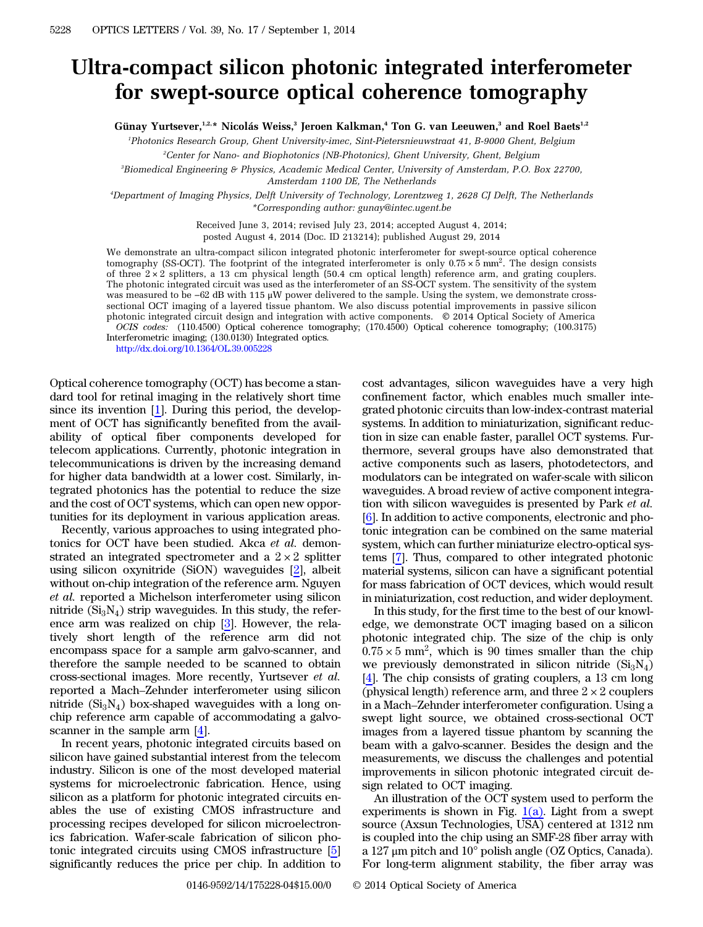## Ultra-compact silicon photonic integrated interferometer for swept-source optical coherence tomography

Günay Yurtsever, $1.2, *$  Nicolás Weiss, $3$  Jeroen Kalkman, $4$  Ton G. van Leeuwen, $3$  and Roel Baets $1.2$ 

1 Photonics Research Group, Ghent University-imec, Sint-Pietersnieuwstraat 41, B-9000 Ghent, Belgium

2 Center for Nano- and Biophotonics (NB-Photonics), Ghent University, Ghent, Belgium

3 Biomedical Engineering & Physics, Academic Medical Center, University of Amsterdam, P.O. Box 22700,

Amsterdam 1100 DE, The Netherlands

4 Department of Imaging Physics, Delft University of Technology, Lorentzweg 1, 2628 CJ Delft, The Netherlands \*Corresponding author: gunay@intec.ugent.be

Received June 3, 2014; revised July 23, 2014; accepted August 4, 2014;

posted August 4, 2014 (Doc. ID 213214); published August 29, 2014

We demonstrate an ultra-compact silicon integrated photonic interferometer for swept-source optical coherence tomography (SS-OCT). The footprint of the integrated interferometer is only  $0.75 \times 5$  mm<sup>2</sup>. The design consists of three  $2 \times 2$  splitters, a 13 cm physical length (50.4 cm optical length) reference arm, and grating couplers. The photonic integrated circuit was used as the interferometer of an SS-OCT system. The sensitivity of the system was measured to be *−*62 dB with 115 μW power delivered to the sample. Using the system, we demonstrate crosssectional OCT imaging of a layered tissue phantom. We also discuss potential improvements in passive silicon photonic integrated circuit design and integration with active components. © 2014 Optical Society of America OCIS codes: (110.4500) Optical coherence tomography; (170.4500) Optical coherence tomography; (100.3175) Interferometric imaging; (130.0130) Integrated optics.

<http://dx.doi.org/10.1364/OL.39.005228>

Optical coherence tomography (OCT) has become a standard tool for retinal imaging in the relatively short time since its invention [[1\]](#page-3-0). During this period, the development of OCT has significantly benefited from the availability of optical fiber components developed for telecom applications. Currently, photonic integration in telecommunications is driven by the increasing demand for higher data bandwidth at a lower cost. Similarly, integrated photonics has the potential to reduce the size and the cost of OCT systems, which can open new opportunities for its deployment in various application areas.

Recently, various approaches to using integrated photonics for OCT have been studied. Akca et al. demonstrated an integrated spectrometer and a  $2 \times 2$  splitter using silicon oxynitride (SiON) waveguides [\[2](#page-3-1)], albeit without on-chip integration of the reference arm. Nguyen et al. reported a Michelson interferometer using silicon nitride  $(Si_3N_4)$  strip waveguides. In this study, the reference arm was realized on chip [[3\]](#page-3-2). However, the relatively short length of the reference arm did not encompass space for a sample arm galvo-scanner, and therefore the sample needed to be scanned to obtain cross-sectional images. More recently, Yurtsever et al. reported a Mach–Zehnder interferometer using silicon nitride  $(Si_3N_4)$  box-shaped waveguides with a long onchip reference arm capable of accommodating a galvoscanner in the sample arm [\[4](#page-3-3)].

In recent years, photonic integrated circuits based on silicon have gained substantial interest from the telecom industry. Silicon is one of the most developed material systems for microelectronic fabrication. Hence, using silicon as a platform for photonic integrated circuits enables the use of existing CMOS infrastructure and processing recipes developed for silicon microelectronics fabrication. Wafer-scale fabrication of silicon photonic integrated circuits using CMOS infrastructure [[5\]](#page-3-4) significantly reduces the price per chip. In addition to

cost advantages, silicon waveguides have a very high confinement factor, which enables much smaller integrated photonic circuits than low-index-contrast material systems. In addition to miniaturization, significant reduction in size can enable faster, parallel OCT systems. Furthermore, several groups have also demonstrated that active components such as lasers, photodetectors, and modulators can be integrated on wafer-scale with silicon waveguides. A broad review of active component integration with silicon waveguides is presented by Park et al. [\[6](#page-3-5)]. In addition to active components, electronic and photonic integration can be combined on the same material system, which can further miniaturize electro-optical systems [\[7](#page-3-6)]. Thus, compared to other integrated photonic material systems, silicon can have a significant potential for mass fabrication of OCT devices, which would result in miniaturization, cost reduction, and wider deployment.

In this study, for the first time to the best of our knowledge, we demonstrate OCT imaging based on a silicon photonic integrated chip. The size of the chip is only  $0.75 \times 5$  mm<sup>2</sup>, which is 90 times smaller than the chip we previously demonstrated in silicon nitride  $(Si<sub>3</sub>N<sub>4</sub>)$ [\[4](#page-3-3)]. The chip consists of grating couplers, a 13 cm long (physical length) reference arm, and three  $2 \times 2$  couplers in a Mach–Zehnder interferometer configuration. Using a swept light source, we obtained cross-sectional OCT images from a layered tissue phantom by scanning the beam with a galvo-scanner. Besides the design and the measurements, we discuss the challenges and potential improvements in silicon photonic integrated circuit design related to OCT imaging.

An illustration of the OCT system used to perform the experiments is shown in Fig.  $1(a)$ . Light from a swept source (Axsun Technologies, USA) centered at 1312 nm is coupled into the chip using an SMF-28 fiber array with a 127 μm pitch and 10° polish angle (OZ Optics, Canada). For long-term alignment stability, the fiber array was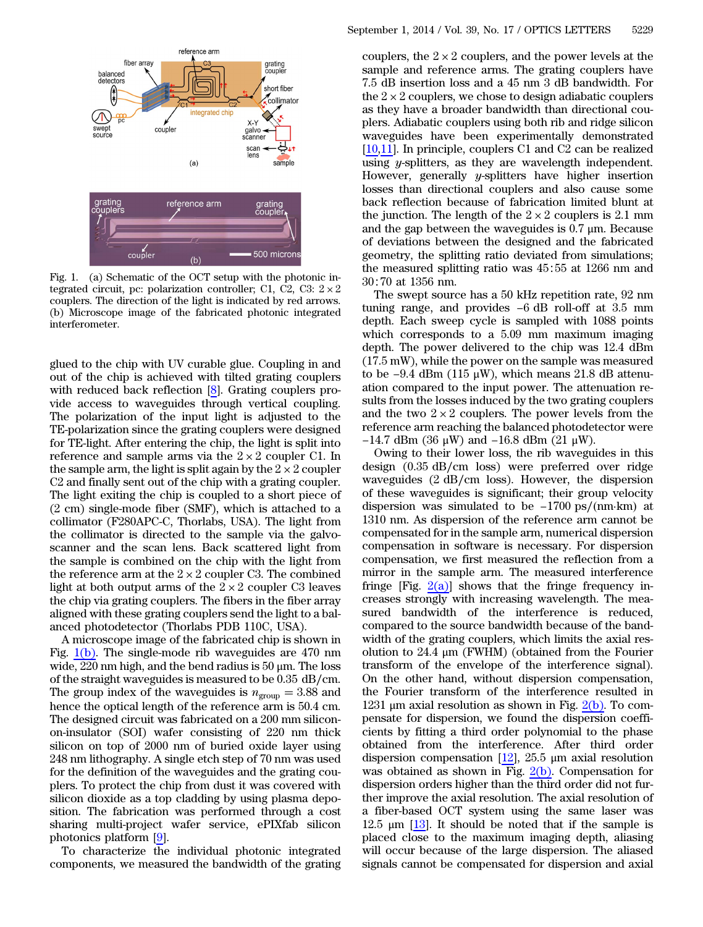<span id="page-1-0"></span>

Fig. 1. (a) Schematic of the OCT setup with the photonic integrated circuit, pc: polarization controller; C1, C2, C3:  $2 \times 2$ couplers. The direction of the light is indicated by red arrows. (b) Microscope image of the fabricated photonic integrated interferometer.

glued to the chip with UV curable glue. Coupling in and out of the chip is achieved with tilted grating couplers with reduced back reflection [\[8](#page-3-7)]. Grating couplers provide access to waveguides through vertical coupling. The polarization of the input light is adjusted to the TE-polarization since the grating couplers were designed for TE-light. After entering the chip, the light is split into reference and sample arms via the  $2 \times 2$  coupler C1. In the sample arm, the light is split again by the  $2 \times 2$  coupler C2 and finally sent out of the chip with a grating coupler. The light exiting the chip is coupled to a short piece of (2 cm) single-mode fiber (SMF), which is attached to a collimator (F280APC-C, Thorlabs, USA). The light from the collimator is directed to the sample via the galvoscanner and the scan lens. Back scattered light from the sample is combined on the chip with the light from the reference arm at the  $2 \times 2$  coupler C3. The combined light at both output arms of the  $2 \times 2$  coupler C3 leaves the chip via grating couplers. The fibers in the fiber array aligned with these grating couplers send the light to a balanced photodetector (Thorlabs PDB 110C, USA).

A microscope image of the fabricated chip is shown in Fig.  $1(b)$ . The single-mode rib waveguides are 470 nm wide,  $220 \text{ nm}$  high, and the bend radius is  $50 \text{ µm}$ . The loss of the straight waveguides is measured to be 0.35 dB∕cm. The group index of the waveguides is  $n_{\text{group}} = 3.88$  and hence the optical length of the reference arm is 50.4 cm. The designed circuit was fabricated on a 200 mm siliconon-insulator (SOI) wafer consisting of 220 nm thick silicon on top of 2000 nm of buried oxide layer using 248 nm lithography. A single etch step of 70 nm was used for the definition of the waveguides and the grating couplers. To protect the chip from dust it was covered with silicon dioxide as a top cladding by using plasma deposition. The fabrication was performed through a cost sharing multi-project wafer service, ePIXfab silicon photonics platform [[9\]](#page-3-8).

To characterize the individual photonic integrated components, we measured the bandwidth of the grating

couplers, the  $2 \times 2$  couplers, and the power levels at the sample and reference arms. The grating couplers have 7.5 dB insertion loss and a 45 nm 3 dB bandwidth. For the  $2 \times 2$  couplers, we chose to design adiabatic couplers as they have a broader bandwidth than directional couplers. Adiabatic couplers using both rib and ridge silicon waveguides have been experimentally demonstrated [\[10](#page-3-9),[11\]](#page-3-10). In principle, couplers C1 and C2 can be realized using y-splitters, as they are wavelength independent. However, generally  $y$ -splitters have higher insertion losses than directional couplers and also cause some back reflection because of fabrication limited blunt at the junction. The length of the  $2 \times 2$  couplers is 2.1 mm and the gap between the waveguides is 0.7 μm. Because of deviations between the designed and the fabricated geometry, the splitting ratio deviated from simulations; the measured splitting ratio was 45∶55 at 1266 nm and 30∶70 at 1356 nm.<br>30∶70 at 1356 nm.<br>The swept source has a 50 kHz repetition rate, 92 nm tuning range, and provides −6 dB roll-off at 3.5 mm 30∶70 at 1356 nm.

The swept source has a 50 kHz repetition rate, 92 nm depth. Each sweep cycle is sampled with 1088 points which corresponds to a 5.09 mm maximum imaging depth. The power delivered to the chip was 12.4 dBm (17.5 mW), while the power on the sample was measured to be  $-9.4$  dBm (115 μW), which means 21.8 dB attenuation compared to the input power. The attenuation results from the losses induced by the two grating couplers and the two  $2 \times 2$  couplers. The power levels from the reference arm reaching the balanced photodetector were the distribution of the distribution of the distribution the losses induced by the two grating the two z × 2 couplers. The power level of the power level of 14.7 dBm (36 μW) and −16.8 dBm (21 μW).

Owing to their lower loss, the rib waveguides in this design (0.35 dB∕cm loss) were preferred over ridge waveguides (2 dB∕cm loss). However, the dispersion of these waveguides is significant; their group velocity design  $(0.35 \text{ dB/cm})$  lower loss, the nonceptoted waveguides  $(2 \text{ dB/cm})$  loss). However, the of these waveguides is significant; their groudispersion was simulated to be  $-1700 \text{ ps}/(100 \text{ s})$ dispersion was simulated to be  $-1700 \text{ ps/(nm·km)}$  at 1310 nm. As dispersion of the reference arm cannot be compensated for in the sample arm, numerical dispersion compensation in software is necessary. For dispersion compensation, we first measured the reflection from a mirror in the sample arm. The measured interference fringe [Fig.  $2(a)$ ] shows that the fringe frequency increases strongly with increasing wavelength. The measured bandwidth of the interference is reduced, compared to the source bandwidth because of the bandwidth of the grating couplers, which limits the axial resolution to 24.4 μm (FWHM) (obtained from the Fourier transform of the envelope of the interference signal). On the other hand, without dispersion compensation, the Fourier transform of the interference resulted in 1231 μm axial resolution as shown in Fig.  $2(b)$ . To compensate for dispersion, we found the dispersion coefficients by fitting a third order polynomial to the phase obtained from the interference. After third order dispersion compensation  $[12]$  $[12]$ , 25.5  $\mu$ m axial resolution was obtained as shown in Fig.  $2(b)$ . Compensation for dispersion orders higher than the third order did not further improve the axial resolution. The axial resolution of a fiber-based OCT system using the same laser was 12.5 μm [\[13](#page-3-12)]. It should be noted that if the sample is placed close to the maximum imaging depth, aliasing will occur because of the large dispersion. The aliased signals cannot be compensated for dispersion and axial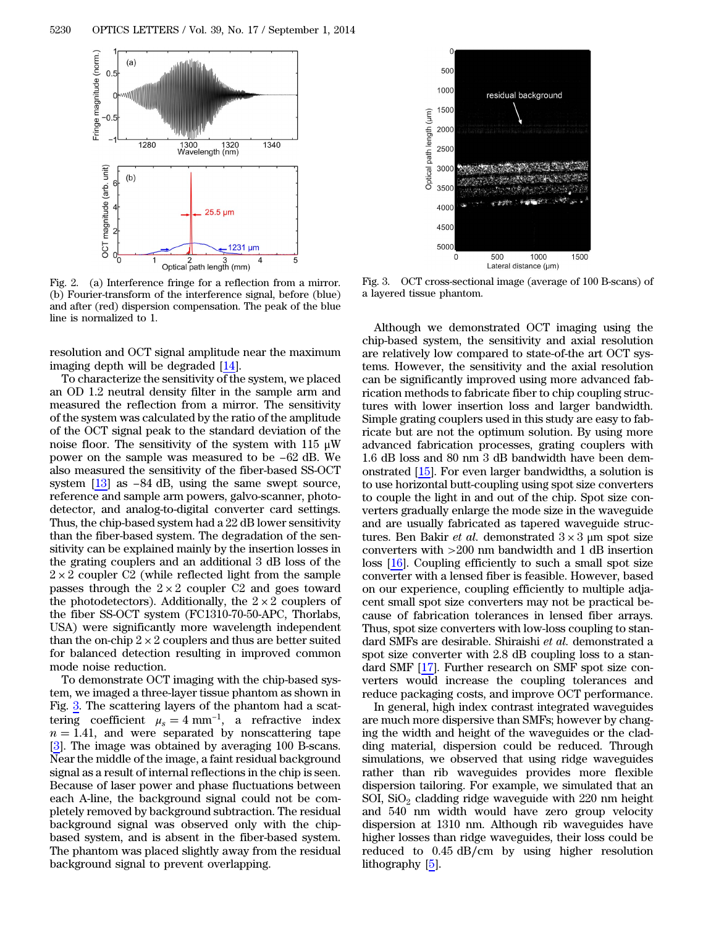<span id="page-2-0"></span>

Fig. 2. (a) Interference fringe for a reflection from a mirror. (b) Fourier-transform of the interference signal, before (blue) and after (red) dispersion compensation. The peak of the blue line is normalized to 1.

resolution and OCT signal amplitude near the maximum imaging depth will be degraded [[14\]](#page-3-13).

To characterize the sensitivity of the system, we placed an OD 1.2 neutral density filter in the sample arm and measured the reflection from a mirror. The sensitivity of the system was calculated by the ratio of the amplitude of the OCT signal peak to the standard deviation of the noise floor. The sensitivity of the system with 115  $\mu$ W power on the sample was measured to be standard deviation of the system was calculated by the ratio of the amplitude of the OCT signal peak to the standard deviation of the noise floor. The sensitivity of the system with also measured the sensitivity of the fiber-based SS-OCT power on the sample was measured to be  $-62$  dB. We also measured the sensitivity of the fiber-based SS-OCT system  $[13]$  $[13]$  as  $-84$  dB, using the same swept source, reference and sample arm powers, galvo-scanner, photodetector, and analog-to-digital converter card settings. Thus, the chip-based system had a 22 dB lower sensitivity than the fiber-based system. The degradation of the sensitivity can be explained mainly by the insertion losses in the grating couplers and an additional 3 dB loss of the  $2 \times 2$  coupler C2 (while reflected light from the sample passes through the  $2 \times 2$  coupler C2 and goes toward the photodetectors). Additionally, the  $2 \times 2$  couplers of the fiber SS-OCT system (FC1310-70-50-APC, Thorlabs, USA) were significantly more wavelength independent than the on-chip  $2 \times 2$  couplers and thus are better suited for balanced detection resulting in improved common mode noise reduction.

To demonstrate OCT imaging with the chip-based system, we imaged a three-layer tissue phantom as shown in Fig. [3.](#page-2-1) The scattering layers of the phantom had a scattem, we imaged a three-layer tissue phantom as shown in Fig. 3. The scattering layers of the phantom had a scattering coefficient  $\mu_s = 4$  mm<sup>-1</sup>, a refractive index  $n = 1.41$ , and were separated by nonscattering tape [\[3](#page-3-2)]. The image was obtained by averaging 100 B-scans. Near the middle of the image, a faint residual background signal as a result of internal reflections in the chip is seen. Because of laser power and phase fluctuations between each A-line, the background signal could not be completely removed by background subtraction. The residual background signal was observed only with the chipbased system, and is absent in the fiber-based system. The phantom was placed slightly away from the residual background signal to prevent overlapping.

<span id="page-2-1"></span>

Fig. 3. OCT cross-sectional image (average of 100 B-scans) of a layered tissue phantom.

Although we demonstrated OCT imaging using the chip-based system, the sensitivity and axial resolution are relatively low compared to state-of-the art OCT systems. However, the sensitivity and the axial resolution can be significantly improved using more advanced fabrication methods to fabricate fiber to chip coupling structures with lower insertion loss and larger bandwidth. Simple grating couplers used in this study are easy to fabricate but are not the optimum solution. By using more advanced fabrication processes, grating couplers with 1.6 dB loss and 80 nm 3 dB bandwidth have been demonstrated [[15\]](#page-3-14). For even larger bandwidths, a solution is to use horizontal butt-coupling using spot size converters to couple the light in and out of the chip. Spot size converters gradually enlarge the mode size in the waveguide and are usually fabricated as tapered waveguide structures. Ben Bakir *et al.* demonstrated  $3 \times 3$  µm spot size converters with >200 nm bandwidth and 1 dB insertion loss [\[16](#page-3-15)]. Coupling efficiently to such a small spot size converter with a lensed fiber is feasible. However, based on our experience, coupling efficiently to multiple adjacent small spot size converters may not be practical because of fabrication tolerances in lensed fiber arrays. Thus, spot size converters with low-loss coupling to standard SMFs are desirable. Shiraishi et al. demonstrated a spot size converter with 2.8 dB coupling loss to a standard SMF [\[17](#page-3-16)]. Further research on SMF spot size converters would increase the coupling tolerances and reduce packaging costs, and improve OCT performance.

In general, high index contrast integrated waveguides are much more dispersive than SMFs; however by changing the width and height of the waveguides or the cladding material, dispersion could be reduced. Through simulations, we observed that using ridge waveguides rather than rib waveguides provides more flexible dispersion tailoring. For example, we simulated that an SOI,  $SiO<sub>2</sub>$  cladding ridge waveguide with 220 nm height and 540 nm width would have zero group velocity dispersion at 1310 nm. Although rib waveguides have higher losses than ridge waveguides, their loss could be reduced to 0.45 dB∕cm by using higher resolution lithography [\[5](#page-3-4)].